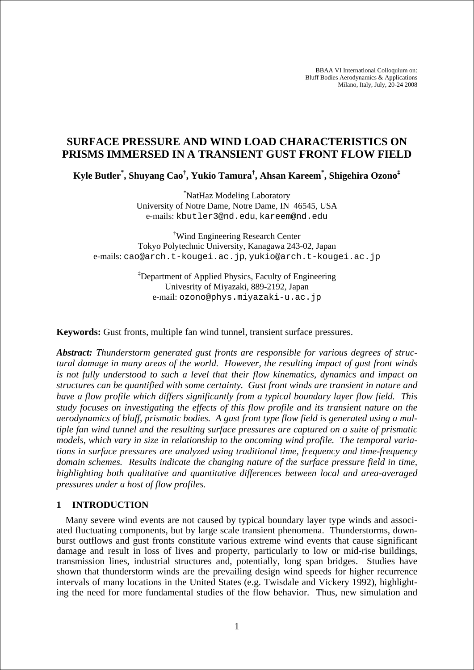BBAA VI International Colloquium on: Bluff Bodies Aerodynamics & Applications Milano, Italy, July, 20-24 2008

# **SURFACE PRESSURE AND WIND LOAD CHARACTERISTICS ON PRISMS IMMERSED IN A TRANSIENT GUST FRONT FLOW FIELD**

**Kyle Butler\* , Shuyang Cao† , Yukio Tamura† , Ahsan Kareem\* , Shigehira Ozono‡** 

\* NatHaz Modeling Laboratory University of Notre Dame, Notre Dame, IN 46545, USA e-mails: kbutler3@nd.edu, kareem@nd.edu

† Wind Engineering Research Center Tokyo Polytechnic University, Kanagawa 243-02, Japan e-mails: cao@arch.t-kougei.ac.jp, yukio@arch.t-kougei.ac.jp

> ‡ Department of Applied Physics, Faculty of Engineering Univesrity of Miyazaki, 889-2192, Japan e-mail: ozono@phys.miyazaki-u.ac.jp

**Keywords:** Gust fronts, multiple fan wind tunnel, transient surface pressures.

*Abstract: Thunderstorm generated gust fronts are responsible for various degrees of structural damage in many areas of the world. However, the resulting impact of gust front winds is not fully understood to such a level that their flow kinematics, dynamics and impact on structures can be quantified with some certainty. Gust front winds are transient in nature and have a flow profile which differs significantly from a typical boundary layer flow field. This study focuses on investigating the effects of this flow profile and its transient nature on the aerodynamics of bluff, prismatic bodies. A gust front type flow field is generated using a multiple fan wind tunnel and the resulting surface pressures are captured on a suite of prismatic models, which vary in size in relationship to the oncoming wind profile. The temporal variations in surface pressures are analyzed using traditional time, frequency and time-frequency domain schemes. Results indicate the changing nature of the surface pressure field in time, highlighting both qualitative and quantitative differences between local and area-averaged pressures under a host of flow profiles.* 

### **1 INTRODUCTION**

Many severe wind events are not caused by typical boundary layer type winds and associated fluctuating components, but by large scale transient phenomena. Thunderstorms, downburst outflows and gust fronts constitute various extreme wind events that cause significant damage and result in loss of lives and property, particularly to low or mid-rise buildings, transmission lines, industrial structures and, potentially, long span bridges. Studies have shown that thunderstorm winds are the prevailing design wind speeds for higher recurrence intervals of many locations in the United States (e.g. Twisdale and Vickery 1992), highlighting the need for more fundamental studies of the flow behavior. Thus, new simulation and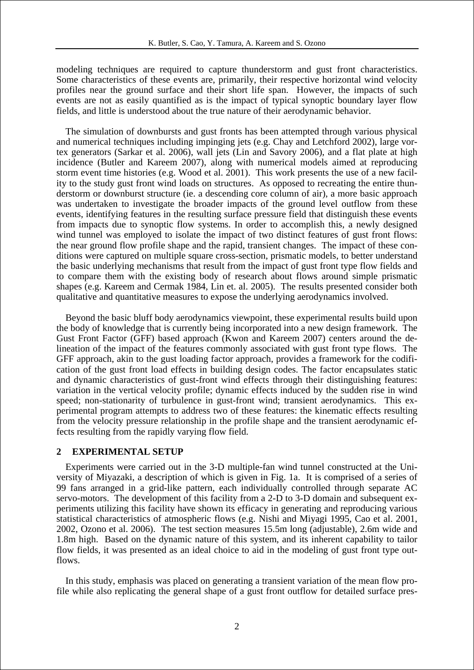modeling techniques are required to capture thunderstorm and gust front characteristics. Some characteristics of these events are, primarily, their respective horizontal wind velocity profiles near the ground surface and their short life span. However, the impacts of such events are not as easily quantified as is the impact of typical synoptic boundary layer flow fields, and little is understood about the true nature of their aerodynamic behavior.

The simulation of downbursts and gust fronts has been attempted through various physical and numerical techniques including impinging jets (e.g. Chay and Letchford 2002), large vortex generators (Sarkar et al. 2006), wall jets (Lin and Savory 2006), and a flat plate at high incidence (Butler and Kareem 2007), along with numerical models aimed at reproducing storm event time histories (e.g. Wood et al. 2001). This work presents the use of a new facility to the study gust front wind loads on structures. As opposed to recreating the entire thunderstorm or downburst structure (ie. a descending core column of air), a more basic approach was undertaken to investigate the broader impacts of the ground level outflow from these events, identifying features in the resulting surface pressure field that distinguish these events from impacts due to synoptic flow systems. In order to accomplish this, a newly designed wind tunnel was employed to isolate the impact of two distinct features of gust front flows: the near ground flow profile shape and the rapid, transient changes. The impact of these conditions were captured on multiple square cross-section, prismatic models, to better understand the basic underlying mechanisms that result from the impact of gust front type flow fields and to compare them with the existing body of research about flows around simple prismatic shapes (e.g. Kareem and Cermak 1984, Lin et. al. 2005). The results presented consider both qualitative and quantitative measures to expose the underlying aerodynamics involved.

Beyond the basic bluff body aerodynamics viewpoint, these experimental results build upon the body of knowledge that is currently being incorporated into a new design framework. The Gust Front Factor (GFF) based approach (Kwon and Kareem 2007) centers around the delineation of the impact of the features commonly associated with gust front type flows. The GFF approach, akin to the gust loading factor approach, provides a framework for the codification of the gust front load effects in building design codes. The factor encapsulates static and dynamic characteristics of gust-front wind effects through their distinguishing features: variation in the vertical velocity profile; dynamic effects induced by the sudden rise in wind speed; non-stationarity of turbulence in gust-front wind; transient aerodynamics. This experimental program attempts to address two of these features: the kinematic effects resulting from the velocity pressure relationship in the profile shape and the transient aerodynamic effects resulting from the rapidly varying flow field.

#### **2 EXPERIMENTAL SETUP**

Experiments were carried out in the 3-D multiple-fan wind tunnel constructed at the University of Miyazaki, a description of which is given in Fig. 1a. It is comprised of a series of 99 fans arranged in a grid-like pattern, each individually controlled through separate AC servo-motors. The development of this facility from a 2-D to 3-D domain and subsequent experiments utilizing this facility have shown its efficacy in generating and reproducing various statistical characteristics of atmospheric flows (e.g. Nishi and Miyagi 1995, Cao et al. 2001, 2002, Ozono et al. 2006). The test section measures 15.5m long (adjustable), 2.6m wide and 1.8m high. Based on the dynamic nature of this system, and its inherent capability to tailor flow fields, it was presented as an ideal choice to aid in the modeling of gust front type outflows.

In this study, emphasis was placed on generating a transient variation of the mean flow profile while also replicating the general shape of a gust front outflow for detailed surface pres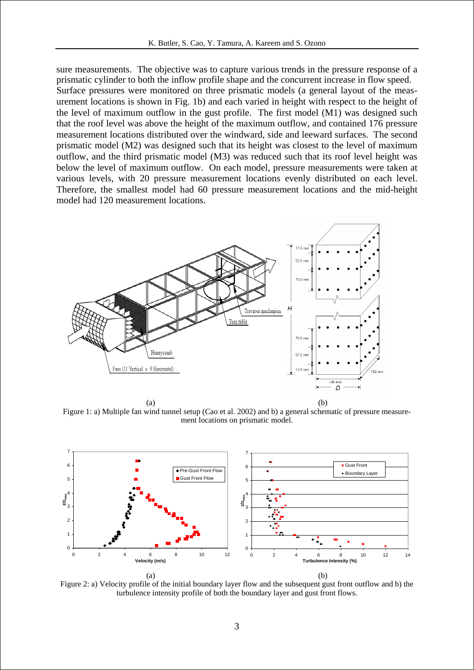sure measurements. The objective was to capture various trends in the pressure response of a prismatic cylinder to both the inflow profile shape and the concurrent increase in flow speed. Surface pressures were monitored on three prismatic models (a general layout of the measurement locations is shown in Fig. 1b) and each varied in height with respect to the height of the level of maximum outflow in the gust profile. The first model (M1) was designed such that the roof level was above the height of the maximum outflow, and contained 176 pressure measurement locations distributed over the windward, side and leeward surfaces. The second prismatic model (M2) was designed such that its height was closest to the level of maximum outflow, and the third prismatic model (M3) was reduced such that its roof level height was below the level of maximum outflow. On each model, pressure measurements were taken at various levels, with 20 pressure measurement locations evenly distributed on each level. Therefore, the smallest model had 60 pressure measurement locations and the mid-height model had 120 measurement locations.



Figure 1: a) Multiple fan wind tunnel setup (Cao et al. 2002) and b) a general schematic of pressure measurement locations on prismatic model.



Figure 2: a) Velocity profile of the initial boundary layer flow and the subsequent gust front outflow and b) the turbulence intensity profile of both the boundary layer and gust front flows.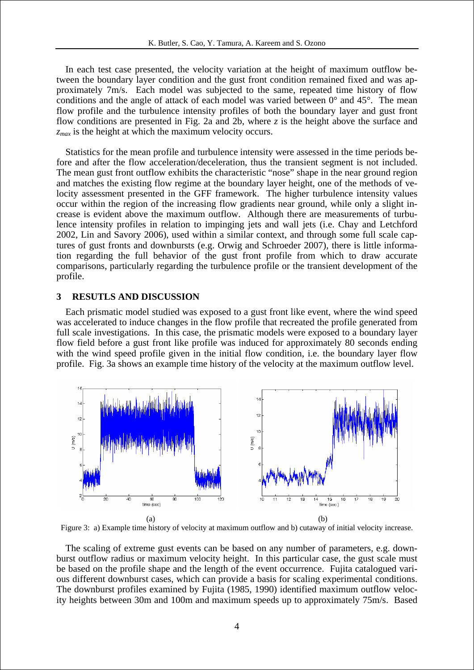In each test case presented, the velocity variation at the height of maximum outflow between the boundary layer condition and the gust front condition remained fixed and was approximately 7m/s. Each model was subjected to the same, repeated time history of flow conditions and the angle of attack of each model was varied between  $0^{\circ}$  and  $45^{\circ}$ . The mean flow profile and the turbulence intensity profiles of both the boundary layer and gust front flow conditions are presented in Fig. 2a and 2b, where *z* is the height above the surface and *zmax* is the height at which the maximum velocity occurs.

Statistics for the mean profile and turbulence intensity were assessed in the time periods before and after the flow acceleration/deceleration, thus the transient segment is not included. The mean gust front outflow exhibits the characteristic "nose" shape in the near ground region and matches the existing flow regime at the boundary layer height, one of the methods of velocity assessment presented in the GFF framework. The higher turbulence intensity values occur within the region of the increasing flow gradients near ground, while only a slight increase is evident above the maximum outflow. Although there are measurements of turbulence intensity profiles in relation to impinging jets and wall jets (i.e. Chay and Letchford 2002, Lin and Savory 2006), used within a similar context, and through some full scale captures of gust fronts and downbursts (e.g. Orwig and Schroeder 2007), there is little information regarding the full behavior of the gust front profile from which to draw accurate comparisons, particularly regarding the turbulence profile or the transient development of the profile.

#### **3 RESUTLS AND DISCUSSION**

Each prismatic model studied was exposed to a gust front like event, where the wind speed was accelerated to induce changes in the flow profile that recreated the profile generated from full scale investigations. In this case, the prismatic models were exposed to a boundary layer flow field before a gust front like profile was induced for approximately 80 seconds ending with the wind speed profile given in the initial flow condition, i.e. the boundary layer flow profile. Fig. 3a shows an example time history of the velocity at the maximum outflow level.



Figure 3: a) Example time history of velocity at maximum outflow and b) cutaway of initial velocity increase.

The scaling of extreme gust events can be based on any number of parameters, e.g. downburst outflow radius or maximum velocity height. In this particular case, the gust scale must be based on the profile shape and the length of the event occurrence. Fujita catalogued various different downburst cases, which can provide a basis for scaling experimental conditions. The downburst profiles examined by Fujita (1985, 1990) identified maximum outflow velocity heights between 30m and 100m and maximum speeds up to approximately 75m/s. Based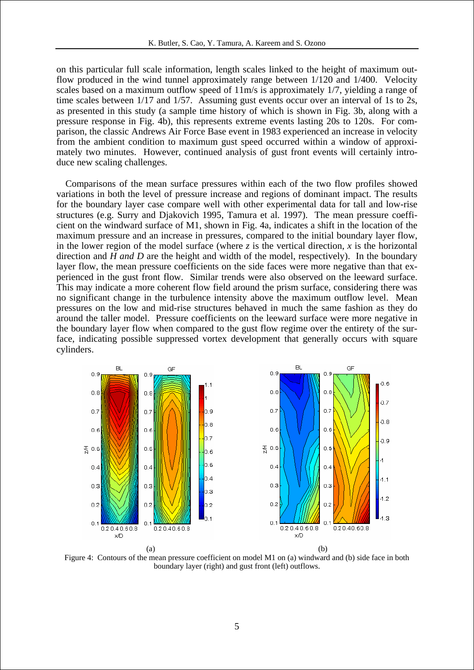on this particular full scale information, length scales linked to the height of maximum outflow produced in the wind tunnel approximately range between 1/120 and 1/400. Velocity scales based on a maximum outflow speed of 11m/s is approximately 1/7, yielding a range of time scales between 1/17 and 1/57. Assuming gust events occur over an interval of 1s to 2s, as presented in this study (a sample time history of which is shown in Fig. 3b, along with a pressure response in Fig. 4b), this represents extreme events lasting 20s to 120s. For comparison, the classic Andrews Air Force Base event in 1983 experienced an increase in velocity from the ambient condition to maximum gust speed occurred within a window of approximately two minutes. However, continued analysis of gust front events will certainly introduce new scaling challenges.

Comparisons of the mean surface pressures within each of the two flow profiles showed variations in both the level of pressure increase and regions of dominant impact. The results for the boundary layer case compare well with other experimental data for tall and low-rise structures (e.g. Surry and Djakovich 1995, Tamura et al. 1997). The mean pressure coefficient on the windward surface of M1, shown in Fig. 4a, indicates a shift in the location of the maximum pressure and an increase in pressures, compared to the initial boundary layer flow, in the lower region of the model surface (where  $\zeta$  is the vertical direction,  $\chi$  is the horizontal direction and  $H$  *and*  $D$  are the height and width of the model, respectively). In the boundary layer flow, the mean pressure coefficients on the side faces were more negative than that experienced in the gust front flow. Similar trends were also observed on the leeward surface. This may indicate a more coherent flow field around the prism surface, considering there was no significant change in the turbulence intensity above the maximum outflow level. Mean pressures on the low and mid-rise structures behaved in much the same fashion as they do around the taller model. Pressure coefficients on the leeward surface were more negative in the boundary layer flow when compared to the gust flow regime over the entirety of the surface, indicating possible suppressed vortex development that generally occurs with square cylinders.



Figure 4: Contours of the mean pressure coefficient on model M1 on (a) windward and (b) side face in both boundary layer (right) and gust front (left) outflows.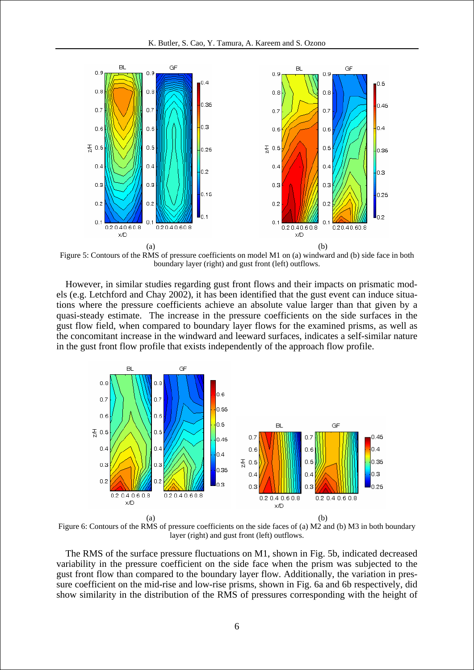

Figure 5: Contours of the RMS of pressure coefficients on model M1 on (a) windward and (b) side face in both boundary layer (right) and gust front (left) outflows.

However, in similar studies regarding gust front flows and their impacts on prismatic models (e.g. Letchford and Chay 2002), it has been identified that the gust event can induce situations where the pressure coefficients achieve an absolute value larger than that given by a quasi-steady estimate. The increase in the pressure coefficients on the side surfaces in the gust flow field, when compared to boundary layer flows for the examined prisms, as well as the concomitant increase in the windward and leeward surfaces, indicates a self-similar nature in the gust front flow profile that exists independently of the approach flow profile.



Figure 6: Contours of the RMS of pressure coefficients on the side faces of (a) M2 and (b) M3 in both boundary layer (right) and gust front (left) outflows.

The RMS of the surface pressure fluctuations on M1, shown in Fig. 5b, indicated decreased variability in the pressure coefficient on the side face when the prism was subjected to the gust front flow than compared to the boundary layer flow. Additionally, the variation in pressure coefficient on the mid-rise and low-rise prisms, shown in Fig. 6a and 6b respectively, did show similarity in the distribution of the RMS of pressures corresponding with the height of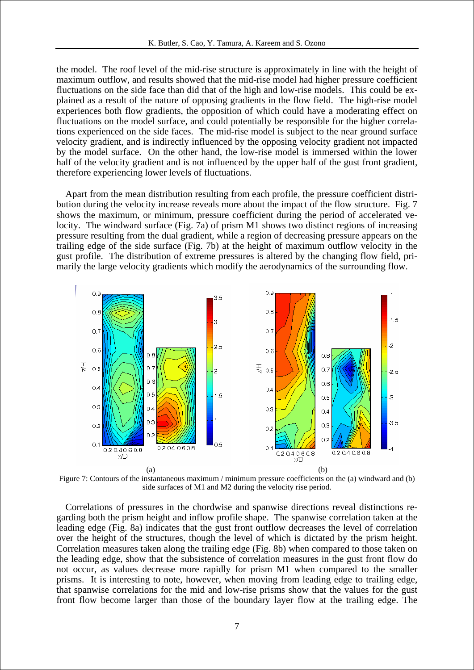the model. The roof level of the mid-rise structure is approximately in line with the height of maximum outflow, and results showed that the mid-rise model had higher pressure coefficient fluctuations on the side face than did that of the high and low-rise models. This could be explained as a result of the nature of opposing gradients in the flow field. The high-rise model experiences both flow gradients, the opposition of which could have a moderating effect on fluctuations on the model surface, and could potentially be responsible for the higher correlations experienced on the side faces. The mid-rise model is subject to the near ground surface velocity gradient, and is indirectly influenced by the opposing velocity gradient not impacted by the model surface. On the other hand, the low-rise model is immersed within the lower half of the velocity gradient and is not influenced by the upper half of the gust front gradient, therefore experiencing lower levels of fluctuations.

Apart from the mean distribution resulting from each profile, the pressure coefficient distribution during the velocity increase reveals more about the impact of the flow structure. Fig. 7 shows the maximum, or minimum, pressure coefficient during the period of accelerated velocity. The windward surface (Fig. 7a) of prism M1 shows two distinct regions of increasing pressure resulting from the dual gradient, while a region of decreasing pressure appears on the trailing edge of the side surface (Fig. 7b) at the height of maximum outflow velocity in the gust profile. The distribution of extreme pressures is altered by the changing flow field, primarily the large velocity gradients which modify the aerodynamics of the surrounding flow.



Figure 7: Contours of the instantaneous maximum / minimum pressure coefficients on the (a) windward and (b) side surfaces of M1 and M2 during the velocity rise period.

Correlations of pressures in the chordwise and spanwise directions reveal distinctions regarding both the prism height and inflow profile shape. The spanwise correlation taken at the leading edge (Fig. 8a) indicates that the gust front outflow decreases the level of correlation over the height of the structures, though the level of which is dictated by the prism height. Correlation measures taken along the trailing edge (Fig. 8b) when compared to those taken on the leading edge, show that the subsistence of correlation measures in the gust front flow do not occur, as values decrease more rapidly for prism M1 when compared to the smaller prisms. It is interesting to note, however, when moving from leading edge to trailing edge, that spanwise correlations for the mid and low-rise prisms show that the values for the gust front flow become larger than those of the boundary layer flow at the trailing edge. The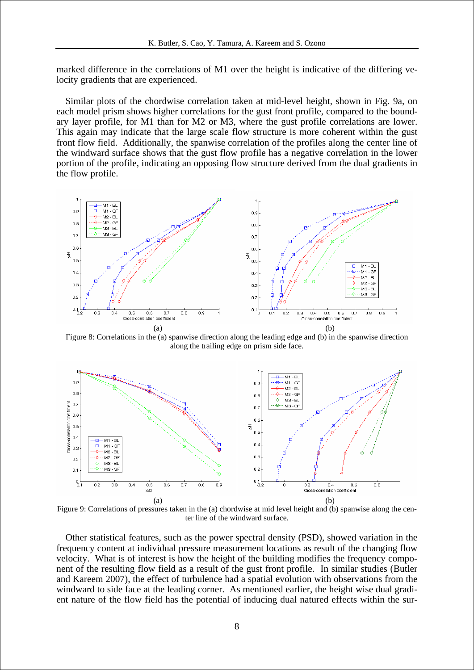marked difference in the correlations of M1 over the height is indicative of the differing velocity gradients that are experienced.

Similar plots of the chordwise correlation taken at mid-level height, shown in Fig. 9a, on each model prism shows higher correlations for the gust front profile, compared to the boundary layer profile, for M1 than for M2 or M3, where the gust profile correlations are lower. This again may indicate that the large scale flow structure is more coherent within the gust front flow field. Additionally, the spanwise correlation of the profiles along the center line of the windward surface shows that the gust flow profile has a negative correlation in the lower portion of the profile, indicating an opposing flow structure derived from the dual gradients in the flow profile.



Figure 8: Correlations in the (a) spanwise direction along the leading edge and (b) in the spanwise direction along the trailing edge on prism side face.



Figure 9: Correlations of pressures taken in the (a) chordwise at mid level height and (b) spanwise along the center line of the windward surface.

Other statistical features, such as the power spectral density (PSD), showed variation in the frequency content at individual pressure measurement locations as result of the changing flow velocity. What is of interest is how the height of the building modifies the frequency component of the resulting flow field as a result of the gust front profile. In similar studies (Butler and Kareem 2007), the effect of turbulence had a spatial evolution with observations from the windward to side face at the leading corner. As mentioned earlier, the height wise dual gradient nature of the flow field has the potential of inducing dual natured effects within the sur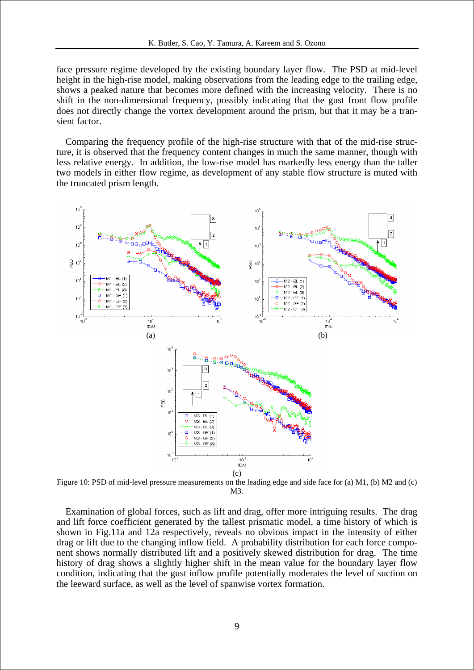face pressure regime developed by the existing boundary layer flow. The PSD at mid-level height in the high-rise model, making observations from the leading edge to the trailing edge, shows a peaked nature that becomes more defined with the increasing velocity. There is no shift in the non-dimensional frequency, possibly indicating that the gust front flow profile does not directly change the vortex development around the prism, but that it may be a transient factor.

Comparing the frequency profile of the high-rise structure with that of the mid-rise structure, it is observed that the frequency content changes in much the same manner, though with less relative energy. In addition, the low-rise model has markedly less energy than the taller two models in either flow regime, as development of any stable flow structure is muted with the truncated prism length.



Figure 10: PSD of mid-level pressure measurements on the leading edge and side face for (a) M1, (b) M2 and (c) M3.

Examination of global forces, such as lift and drag, offer more intriguing results. The drag and lift force coefficient generated by the tallest prismatic model, a time history of which is shown in Fig.11a and 12a respectively, reveals no obvious impact in the intensity of either drag or lift due to the changing inflow field. A probability distribution for each force component shows normally distributed lift and a positively skewed distribution for drag. The time history of drag shows a slightly higher shift in the mean value for the boundary layer flow condition, indicating that the gust inflow profile potentially moderates the level of suction on the leeward surface, as well as the level of spanwise vortex formation.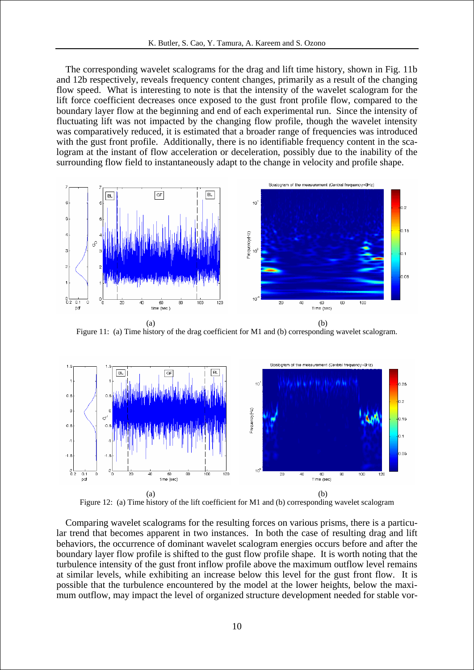The corresponding wavelet scalograms for the drag and lift time history, shown in Fig. 11b and 12b respectively, reveals frequency content changes, primarily as a result of the changing flow speed. What is interesting to note is that the intensity of the wavelet scalogram for the lift force coefficient decreases once exposed to the gust front profile flow, compared to the boundary layer flow at the beginning and end of each experimental run. Since the intensity of fluctuating lift was not impacted by the changing flow profile, though the wavelet intensity was comparatively reduced, it is estimated that a broader range of frequencies was introduced with the gust front profile. Additionally, there is no identifiable frequency content in the scalogram at the instant of flow acceleration or deceleration, possibly due to the inability of the surrounding flow field to instantaneously adapt to the change in velocity and profile shape.



Figure 11: (a) Time history of the drag coefficient for M1 and (b) corresponding wavelet scalogram.



Figure 12: (a) Time history of the lift coefficient for M1 and (b) corresponding wavelet scalogram

Comparing wavelet scalograms for the resulting forces on various prisms, there is a particular trend that becomes apparent in two instances. In both the case of resulting drag and lift behaviors, the occurrence of dominant wavelet scalogram energies occurs before and after the boundary layer flow profile is shifted to the gust flow profile shape. It is worth noting that the turbulence intensity of the gust front inflow profile above the maximum outflow level remains at similar levels, while exhibiting an increase below this level for the gust front flow. It is possible that the turbulence encountered by the model at the lower heights, below the maximum outflow, may impact the level of organized structure development needed for stable vor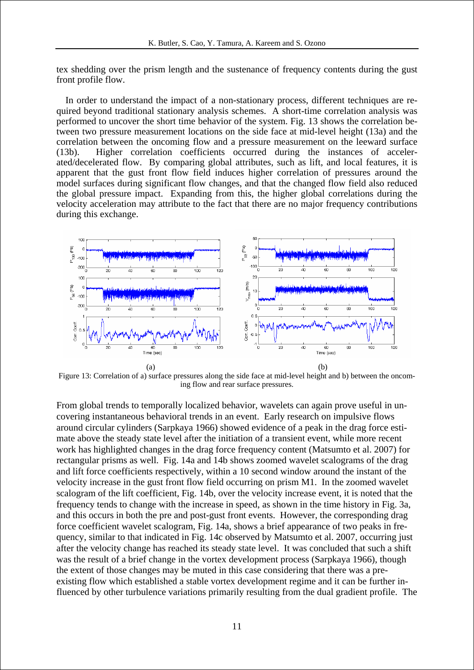tex shedding over the prism length and the sustenance of frequency contents during the gust front profile flow.

In order to understand the impact of a non-stationary process, different techniques are required beyond traditional stationary analysis schemes. A short-time correlation analysis was performed to uncover the short time behavior of the system. Fig. 13 shows the correlation between two pressure measurement locations on the side face at mid-level height (13a) and the correlation between the oncoming flow and a pressure measurement on the leeward surface (13b). Higher correlation coefficients occurred during the instances of accelerated/decelerated flow. By comparing global attributes, such as lift, and local features, it is apparent that the gust front flow field induces higher correlation of pressures around the model surfaces during significant flow changes, and that the changed flow field also reduced the global pressure impact. Expanding from this, the higher global correlations during the velocity acceleration may attribute to the fact that there are no major frequency contributions during this exchange.



Figure 13: Correlation of a) surface pressures along the side face at mid-level height and b) between the oncoming flow and rear surface pressures.

From global trends to temporally localized behavior, wavelets can again prove useful in uncovering instantaneous behavioral trends in an event. Early research on impulsive flows around circular cylinders (Sarpkaya 1966) showed evidence of a peak in the drag force estimate above the steady state level after the initiation of a transient event, while more recent work has highlighted changes in the drag force frequency content (Matsumto et al. 2007) for rectangular prisms as well. Fig. 14a and 14b shows zoomed wavelet scalograms of the drag and lift force coefficients respectively, within a 10 second window around the instant of the velocity increase in the gust front flow field occurring on prism M1. In the zoomed wavelet scalogram of the lift coefficient, Fig. 14b, over the velocity increase event, it is noted that the frequency tends to change with the increase in speed, as shown in the time history in Fig. 3a, and this occurs in both the pre and post-gust front events. However, the corresponding drag force coefficient wavelet scalogram, Fig. 14a, shows a brief appearance of two peaks in frequency, similar to that indicated in Fig. 14c observed by Matsumto et al. 2007, occurring just after the velocity change has reached its steady state level. It was concluded that such a shift was the result of a brief change in the vortex development process (Sarpkaya 1966), though the extent of those changes may be muted in this case considering that there was a preexisting flow which established a stable vortex development regime and it can be further influenced by other turbulence variations primarily resulting from the dual gradient profile. The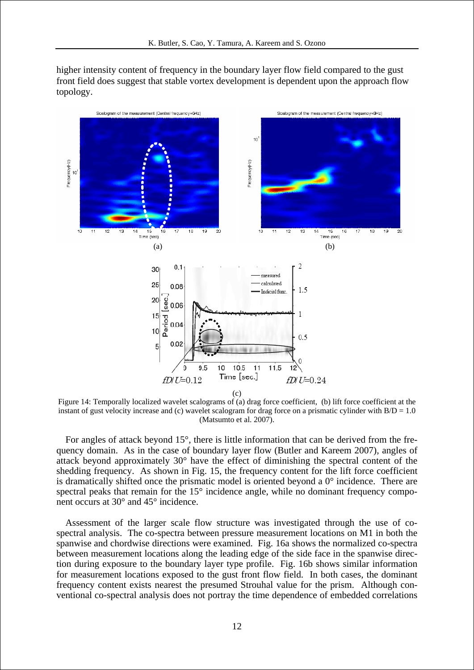higher intensity content of frequency in the boundary layer flow field compared to the gust front field does suggest that stable vortex development is dependent upon the approach flow topology.



Figure 14: Temporally localized wavelet scalograms of (a) drag force coefficient, (b) lift force coefficient at the instant of gust velocity increase and (c) wavelet scalogram for drag force on a prismatic cylinder with  $B/D = 1.0$ (Matsumto et al. 2007).

For angles of attack beyond 15°, there is little information that can be derived from the frequency domain. As in the case of boundary layer flow (Butler and Kareem 2007), angles of attack beyond approximately 30° have the effect of diminishing the spectral content of the shedding frequency. As shown in Fig. 15, the frequency content for the lift force coefficient is dramatically shifted once the prismatic model is oriented beyond a  $0^{\circ}$  incidence. There are spectral peaks that remain for the 15° incidence angle, while no dominant frequency component occurs at 30° and 45° incidence.

Assessment of the larger scale flow structure was investigated through the use of cospectral analysis. The co-spectra between pressure measurement locations on M1 in both the spanwise and chordwise directions were examined. Fig. 16a shows the normalized co-spectra between measurement locations along the leading edge of the side face in the spanwise direction during exposure to the boundary layer type profile. Fig. 16b shows similar information for measurement locations exposed to the gust front flow field. In both cases, the dominant frequency content exists nearest the presumed Strouhal value for the prism. Although conventional co-spectral analysis does not portray the time dependence of embedded correlations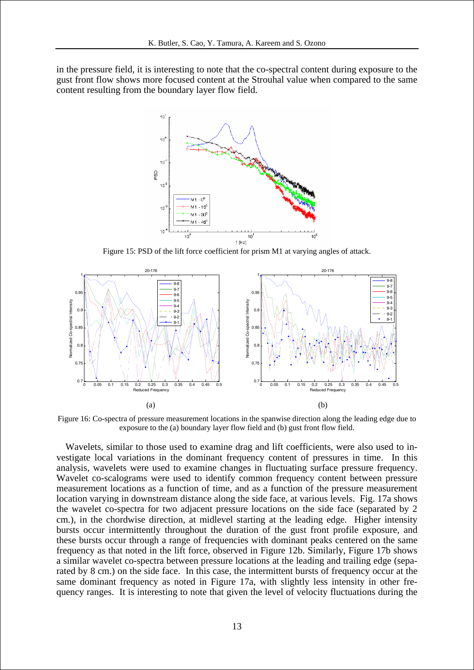in the pressure field, it is interesting to note that the co-spectral content during exposure to the gust front flow shows more focused content at the Strouhal value when compared to the same content resulting from the boundary layer flow field.



Figure 15: PSD of the lift force coefficient for prism M1 at varying angles of attack.



Figure 16: Co-spectra of pressure measurement locations in the spanwise direction along the leading edge due to exposure to the (a) boundary layer flow field and (b) gust front flow field.

Wavelets, similar to those used to examine drag and lift coefficients, were also used to investigate local variations in the dominant frequency content of pressures in time. In this analysis, wavelets were used to examine changes in fluctuating surface pressure frequency. Wavelet co-scalograms were used to identify common frequency content between pressure measurement locations as a function of time, and as a function of the pressure measurement location varying in downstream distance along the side face, at various levels. Fig. 17a shows the wavelet co-spectra for two adjacent pressure locations on the side face (separated by 2 cm.), in the chordwise direction, at midlevel starting at the leading edge. Higher intensity bursts occur intermittently throughout the duration of the gust front profile exposure, and these bursts occur through a range of frequencies with dominant peaks centered on the same frequency as that noted in the lift force, observed in Figure 12b. Similarly, Figure 17b shows a similar wavelet co-spectra between pressure locations at the leading and trailing edge (separated by 8 cm.) on the side face. In this case, the intermittent bursts of frequency occur at the same dominant frequency as noted in Figure 17a, with slightly less intensity in other frequency ranges. It is interesting to note that given the level of velocity fluctuations during the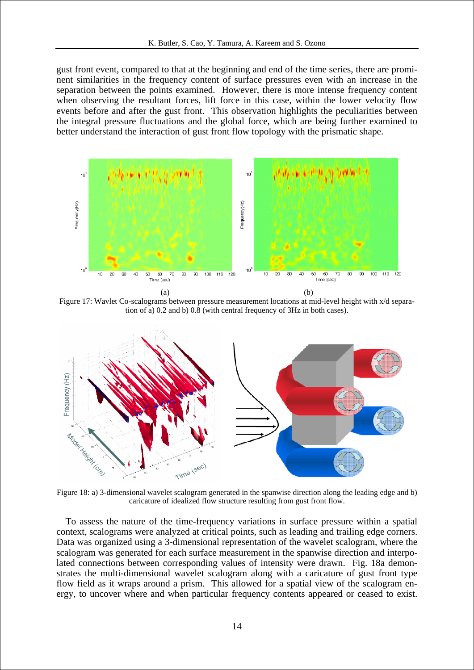gust front event, compared to that at the beginning and end of the time series, there are prominent similarities in the frequency content of surface pressures even with an increase in the separation between the points examined. However, there is more intense frequency content when observing the resultant forces, lift force in this case, within the lower velocity flow events before and after the gust front. This observation highlights the peculiarities between the integral pressure fluctuations and the global force, which are being further examined to better understand the interaction of gust front flow topology with the prismatic shape.



Figure 17: Wavlet Co-scalograms between pressure measurement locations at mid-level height with x/d separation of a) 0.2 and b) 0.8 (with central frequency of 3Hz in both cases).



Figure 18: a) 3-dimensional wavelet scalogram generated in the spanwise direction along the leading edge and b) caricature of idealized flow structure resulting from gust front flow.

To assess the nature of the time-frequency variations in surface pressure within a spatial context, scalograms were analyzed at critical points, such as leading and trailing edge corners. Data was organized using a 3-dimensional representation of the wavelet scalogram, where the scalogram was generated for each surface measurement in the spanwise direction and interpolated connections between corresponding values of intensity were drawn. Fig. 18a demonstrates the multi-dimensional wavelet scalogram along with a caricature of gust front type flow field as it wraps around a prism. This allowed for a spatial view of the scalogram energy, to uncover where and when particular frequency contents appeared or ceased to exist.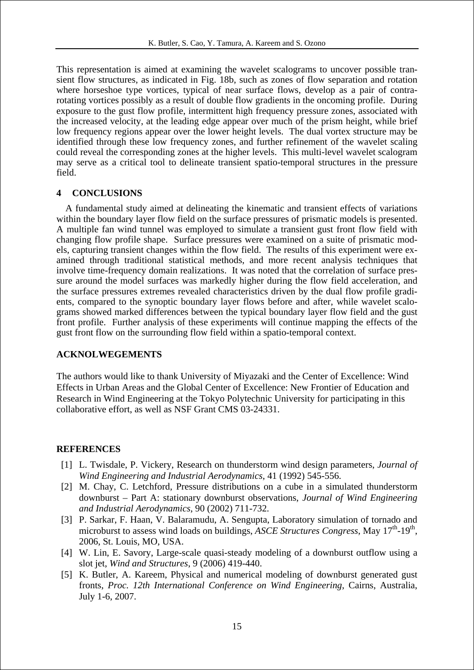This representation is aimed at examining the wavelet scalograms to uncover possible transient flow structures, as indicated in Fig. 18b, such as zones of flow separation and rotation where horseshoe type vortices, typical of near surface flows, develop as a pair of contrarotating vortices possibly as a result of double flow gradients in the oncoming profile. During exposure to the gust flow profile, intermittent high frequency pressure zones, associated with the increased velocity, at the leading edge appear over much of the prism height, while brief low frequency regions appear over the lower height levels. The dual vortex structure may be identified through these low frequency zones, and further refinement of the wavelet scaling could reveal the corresponding zones at the higher levels. This multi-level wavelet scalogram may serve as a critical tool to delineate transient spatio-temporal structures in the pressure field.

## **4 CONCLUSIONS**

A fundamental study aimed at delineating the kinematic and transient effects of variations within the boundary layer flow field on the surface pressures of prismatic models is presented. A multiple fan wind tunnel was employed to simulate a transient gust front flow field with changing flow profile shape. Surface pressures were examined on a suite of prismatic models, capturing transient changes within the flow field. The results of this experiment were examined through traditional statistical methods, and more recent analysis techniques that involve time-frequency domain realizations. It was noted that the correlation of surface pressure around the model surfaces was markedly higher during the flow field acceleration, and the surface pressures extremes revealed characteristics driven by the dual flow profile gradients, compared to the synoptic boundary layer flows before and after, while wavelet scalograms showed marked differences between the typical boundary layer flow field and the gust front profile. Further analysis of these experiments will continue mapping the effects of the gust front flow on the surrounding flow field within a spatio-temporal context.

### **ACKNOLWEGEMENTS**

The authors would like to thank University of Miyazaki and the Center of Excellence: Wind Effects in Urban Areas and the Global Center of Excellence: New Frontier of Education and Research in Wind Engineering at the Tokyo Polytechnic University for participating in this collaborative effort, as well as NSF Grant CMS 03-24331.

## **REFERENCES**

- [1] L. Twisdale, P. Vickery, Research on thunderstorm wind design parameters, *Journal of Wind Engineering and Industrial Aerodynamics*, 41 (1992) 545-556.
- [2] M. Chay, C. Letchford, Pressure distributions on a cube in a simulated thunderstorm downburst – Part A: stationary downburst observations, *Journal of Wind Engineering and Industrial Aerodynamics*, 90 (2002) 711-732.
- [3] P. Sarkar, F. Haan, V. Balaramudu, A. Sengupta, Laboratory simulation of tornado and microburst to assess wind loads on buildings, *ASCE Structures Congress*, May 17<sup>th</sup>-19<sup>th</sup>, 2006, St. Louis, MO, USA.
- [4] W. Lin, E. Savory, Large-scale quasi-steady modeling of a downburst outflow using a slot jet, *Wind and Structures*, 9 (2006) 419-440.
- [5] K. Butler, A. Kareem, Physical and numerical modeling of downburst generated gust fronts, *Proc. 12th International Conference on Wind Engineering*, Cairns, Australia, July 1-6, 2007.